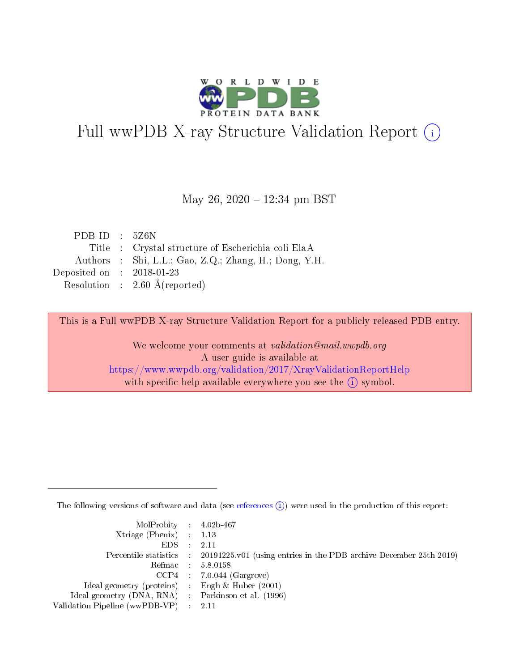

# Full wwPDB X-ray Structure Validation Report (i)

#### May 26,  $2020 - 12:34$  pm BST

| PDB ID : $5Z6N$             |                                                       |
|-----------------------------|-------------------------------------------------------|
|                             | Title : Crystal structure of Escherichia coli ElaA    |
|                             | Authors : Shi, L.L.; Gao, Z.Q.; Zhang, H.; Dong, Y.H. |
| Deposited on : $2018-01-23$ |                                                       |
|                             | Resolution : $2.60 \text{ Å}$ (reported)              |

This is a Full wwPDB X-ray Structure Validation Report for a publicly released PDB entry.

We welcome your comments at validation@mail.wwpdb.org A user guide is available at <https://www.wwpdb.org/validation/2017/XrayValidationReportHelp> with specific help available everywhere you see the  $(i)$  symbol.

The following versions of software and data (see [references](https://www.wwpdb.org/validation/2017/XrayValidationReportHelp#references)  $(i)$ ) were used in the production of this report:

| $MolProbability$ 4.02b-467                          |                                                                                            |
|-----------------------------------------------------|--------------------------------------------------------------------------------------------|
| Xtriage (Phenix) $: 1.13$                           |                                                                                            |
| $EDS$ :                                             | -2.11                                                                                      |
|                                                     | Percentile statistics : 20191225.v01 (using entries in the PDB archive December 25th 2019) |
|                                                     | Refmac : 5.8.0158                                                                          |
|                                                     | $CCP4$ : 7.0.044 (Gargrove)                                                                |
| Ideal geometry (proteins) : Engh $\&$ Huber (2001)  |                                                                                            |
| Ideal geometry (DNA, RNA) : Parkinson et al. (1996) |                                                                                            |
| Validation Pipeline (wwPDB-VP)                      | -2.11                                                                                      |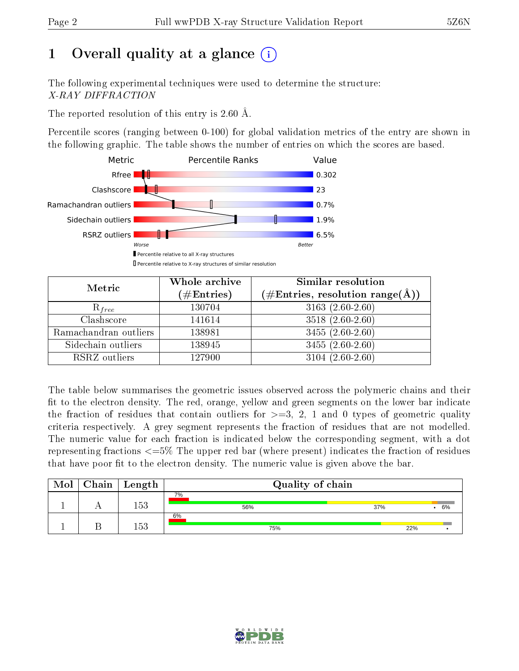# 1 [O](https://www.wwpdb.org/validation/2017/XrayValidationReportHelp#overall_quality)verall quality at a glance  $(i)$

The following experimental techniques were used to determine the structure: X-RAY DIFFRACTION

The reported resolution of this entry is  $2.60 \text{ Å}.$ 

Percentile scores (ranging between 0-100) for global validation metrics of the entry are shown in the following graphic. The table shows the number of entries on which the scores are based.



| Metric                | Whole archive<br>$(\#\text{Entries})$ | Similar resolution<br>$(\#\text{Entries},\,\text{resolution}\,\,\text{range}(\textup{\AA}))$ |  |
|-----------------------|---------------------------------------|----------------------------------------------------------------------------------------------|--|
| $R_{free}$            | 130704                                | $3163(2.60-2.60)$                                                                            |  |
| Clashscore            | 141614                                | $3518(2.60-2.60)$                                                                            |  |
| Ramachandran outliers | 138981                                | $3455(2.60-2.60)$                                                                            |  |
| Sidechain outliers    | 138945                                | $3455(2.60-2.60)$                                                                            |  |
| RSRZ outliers         | 127900                                | $3104(2.60-2.60)$                                                                            |  |

The table below summarises the geometric issues observed across the polymeric chains and their fit to the electron density. The red, orange, yellow and green segments on the lower bar indicate the fraction of residues that contain outliers for  $>=3, 2, 1$  and 0 types of geometric quality criteria respectively. A grey segment represents the fraction of residues that are not modelled. The numeric value for each fraction is indicated below the corresponding segment, with a dot representing fractions <=5% The upper red bar (where present) indicates the fraction of residues that have poor fit to the electron density. The numeric value is given above the bar.

| Mol | ${\rm Chain \mid Length}$ | Quality of chain |           |
|-----|---------------------------|------------------|-----------|
|     | 153                       | 7%<br>56%        | 37%<br>6% |
|     | 153                       | 6%<br>75%        | 22%       |

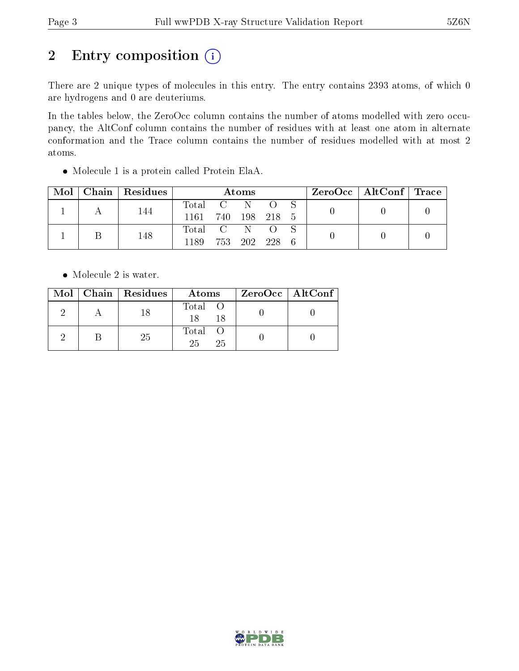# 2 Entry composition (i)

There are 2 unique types of molecules in this entry. The entry contains 2393 atoms, of which 0 are hydrogens and 0 are deuteriums.

In the tables below, the ZeroOcc column contains the number of atoms modelled with zero occupancy, the AltConf column contains the number of residues with at least one atom in alternate conformation and the Trace column contains the number of residues modelled with at most 2 atoms.

| Mol | Chain   Residues | Atoms              |  |             |  |  | $\rm ZeroOcc \mid AltConf \mid Trace$ |  |
|-----|------------------|--------------------|--|-------------|--|--|---------------------------------------|--|
|     | 144              | Total              |  |             |  |  |                                       |  |
|     |                  | 1161 740 198 218 5 |  |             |  |  |                                       |  |
|     |                  | Total C            |  |             |  |  |                                       |  |
|     | 148              | 1189.              |  | 753 202 228 |  |  |                                       |  |

Molecule 1 is a protein called Protein ElaA.

• Molecule 2 is water.

|  | $Mol$   Chain   Residues | Atoms                | ZeroOcc   AltConf |  |
|--|--------------------------|----------------------|-------------------|--|
|  | -18                      | Total O<br>18<br>-18 |                   |  |
|  | -25                      | Total O<br>25<br>25  |                   |  |

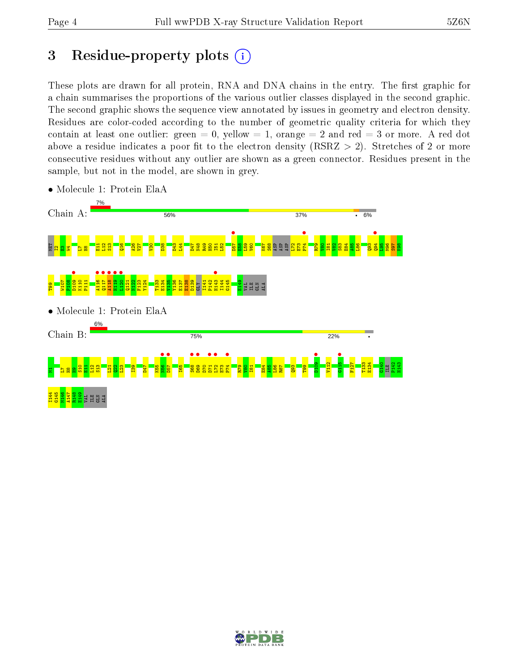# 3 Residue-property plots  $(i)$

These plots are drawn for all protein, RNA and DNA chains in the entry. The first graphic for a chain summarises the proportions of the various outlier classes displayed in the second graphic. The second graphic shows the sequence view annotated by issues in geometry and electron density. Residues are color-coded according to the number of geometric quality criteria for which they contain at least one outlier: green  $= 0$ , yellow  $= 1$ , orange  $= 2$  and red  $= 3$  or more. A red dot above a residue indicates a poor fit to the electron density (RSRZ  $> 2$ ). Stretches of 2 or more consecutive residues without any outlier are shown as a green connector. Residues present in the sample, but not in the model, are shown in grey.



• Molecule 1: Protein ElaA

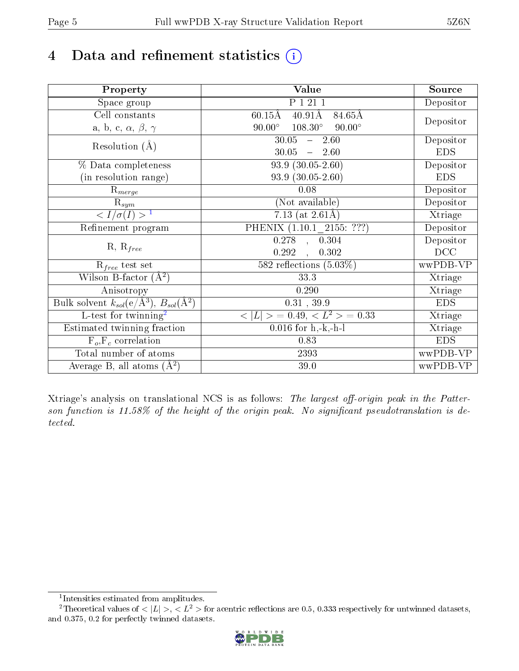# 4 Data and refinement statistics  $(i)$

| Property                                                             | Value                                                | Source     |
|----------------------------------------------------------------------|------------------------------------------------------|------------|
| Space group                                                          | P 1 21 1                                             | Depositor  |
| Cell constants                                                       | $40.91\text{\AA}$<br>84.65Å<br>$60.15\text{\AA}$     |            |
| a, b, c, $\alpha$ , $\beta$ , $\gamma$                               | $108.30^{\circ}$<br>$90.00^\circ$<br>$90.00^\circ$   | Depositor  |
| Resolution $(A)$                                                     | 30.05<br>$-2.60$                                     | Depositor  |
|                                                                      | 30.05<br>$-2.60$                                     | <b>EDS</b> |
| % Data completeness                                                  | $93.9(30.05-2.60)$                                   | Depositor  |
| (in resolution range)                                                | $93.9(30.05-2.60)$                                   | <b>EDS</b> |
| $\mathrm{R}_{merge}$                                                 | 0.08                                                 | Depositor  |
| $\mathrm{R}_{sym}$                                                   | (Not available)                                      | Depositor  |
| $\langle I/\sigma(I) \rangle$ <sup>1</sup>                           | 7.13 (at $2.61\text{\AA}$ )                          | Xtriage    |
| Refinement program                                                   | $\overline{\mathrm{PHENIX}\ (1.10.1\_{2}155:}\ ???)$ | Depositor  |
|                                                                      | $0.278$ , $0.\overline{304}$                         | Depositor  |
| $R, R_{free}$                                                        | 0.292<br>0.302<br>$\ddot{\phantom{a}}$               | DCC        |
| $\mathcal{R}_{free}$ test set                                        | 582 reflections $(5.03\%)$                           | wwPDB-VP   |
| Wilson B-factor $(A^2)$                                              | 33.3                                                 | Xtriage    |
| Anisotropy                                                           | 0.290                                                | Xtriage    |
| Bulk solvent $k_{sol}(e/\mathring{A}^3)$ , $B_{sol}(\mathring{A}^2)$ | 0.31, 39.9                                           | <b>EDS</b> |
| L-test for twinning <sup>2</sup>                                     | $< L >$ = 0.49, $< L2$ > = 0.33                      | Xtriage    |
| Estimated twinning fraction                                          | $0.016$ for $h, -k, -h-1$                            | Xtriage    |
| $F_o, F_c$ correlation                                               | 0.83                                                 | <b>EDS</b> |
| Total number of atoms                                                | 2393                                                 | wwPDB-VP   |
| Average B, all atoms $(A^2)$                                         | 39.0                                                 | wwPDB-VP   |

Xtriage's analysis on translational NCS is as follows: The largest off-origin peak in the Patterson function is  $11.58\%$  of the height of the origin peak. No significant pseudotranslation is detected.

<sup>&</sup>lt;sup>2</sup>Theoretical values of  $\langle |L| \rangle$ ,  $\langle L^2 \rangle$  for acentric reflections are 0.5, 0.333 respectively for untwinned datasets, and 0.375, 0.2 for perfectly twinned datasets.



<span id="page-4-1"></span><span id="page-4-0"></span><sup>1</sup> Intensities estimated from amplitudes.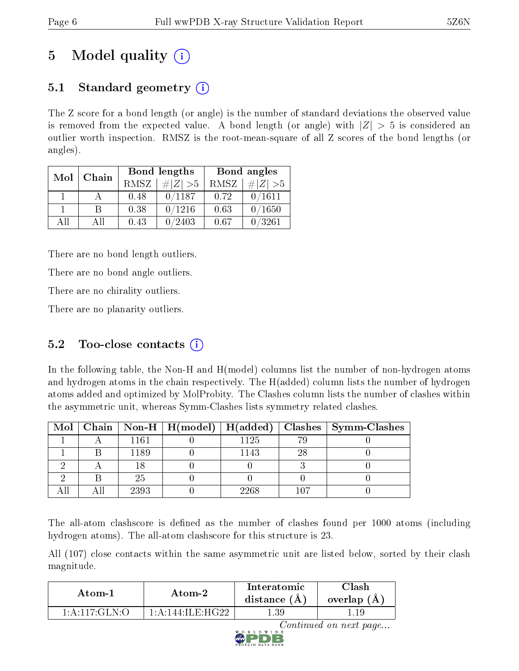# 5 Model quality  $(i)$

# 5.1 Standard geometry  $(i)$

The Z score for a bond length (or angle) is the number of standard deviations the observed value is removed from the expected value. A bond length (or angle) with  $|Z| > 5$  is considered an outlier worth inspection. RMSZ is the root-mean-square of all Z scores of the bond lengths (or angles).

| Mol          | Chain |      | Bond lengths                 | Bond angles |             |
|--------------|-------|------|------------------------------|-------------|-------------|
|              |       | RMSZ | $\vert \# \vert Z \vert > 5$ | RMSZ        | # $ Z  > 5$ |
| $\mathbf{1}$ |       | 0.48 | 0/1187                       | 0.72        | 0/1611      |
|              | В     | 0.38 | 0/1216                       | 0.63        | 0/1650      |
| AH           | Αll   | 0.43 | /2403                        | 0.67        | 0/3261      |

There are no bond length outliers.

There are no bond angle outliers.

There are no chirality outliers.

There are no planarity outliers.

# 5.2 Too-close contacts  $(i)$

In the following table, the Non-H and H(model) columns list the number of non-hydrogen atoms and hydrogen atoms in the chain respectively. The H(added) column lists the number of hydrogen atoms added and optimized by MolProbity. The Clashes column lists the number of clashes within the asymmetric unit, whereas Symm-Clashes lists symmetry related clashes.

|  |      |      |     | Mol   Chain   Non-H   H(model)   H(added)   Clashes   Symm-Clashes |
|--|------|------|-----|--------------------------------------------------------------------|
|  | 1161 | 1125 |     |                                                                    |
|  | 1189 | 1143 | 28  |                                                                    |
|  |      |      |     |                                                                    |
|  | 25   |      |     |                                                                    |
|  | 2393 | 2268 | 107 |                                                                    |

The all-atom clashscore is defined as the number of clashes found per 1000 atoms (including hydrogen atoms). The all-atom clashscore for this structure is 23.

All (107) close contacts within the same asymmetric unit are listed below, sorted by their clash magnitude.

| Atom-1                   | Atom-2                                     | Interatomic<br>distance $(A)$ | <b>Clash</b><br>overlap (A) |
|--------------------------|--------------------------------------------|-------------------------------|-----------------------------|
| $1: A: 117: GLN \cdot O$ | $1 \cdot A \cdot 144 \cdot H \cdot H G$ 22 | ' 39                          |                             |

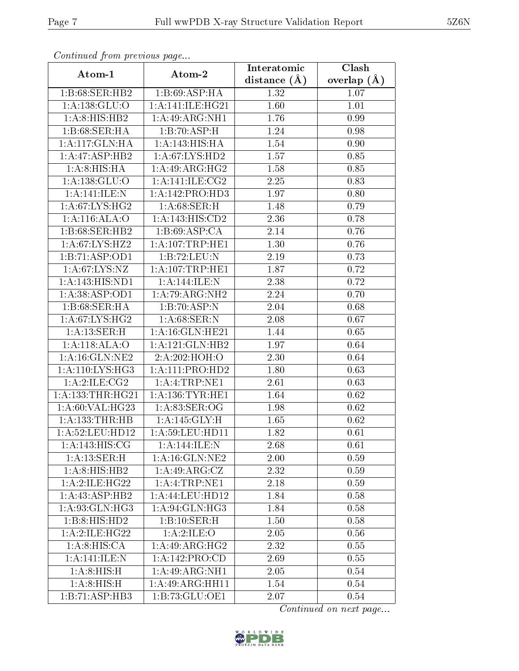| Continuea from pretious page       |                            | Interatomic    | Clash         |
|------------------------------------|----------------------------|----------------|---------------|
| Atom-1                             | Atom-2                     | distance $(A)$ | overlap $(A)$ |
| 1:B:68:SER:HB2                     | 1:B:69:ASP:HA              | 1.32           | 1.07          |
| 1:A:138:GLU:O                      | 1: A:141: ILE: HG21        | 1.60           | 1.01          |
| 1:A:8:HIS:HB2                      | 1:A:49:ARG:NH1             | 1.76           | 0.99          |
| 1:B:68:SER:HA                      | 1:B:70:ASP:H               | 1.24           | 0.98          |
| 1:A:117:GLN:HA                     | 1:A:143:HIS:HA             | 1.54           | 0.90          |
| 1:A:47:ASP:HB2                     | 1: A:67: LYS: HD2          | 1.57           | 0.85          |
| $1:A:\overline{8:HIS:HA}$          | 1:A:49:ARG:HG2             | 1.58           | 0.85          |
| 1: A: 138: GLU:O                   | 1: A:141: ILE: CG2         | 2.25           | 0.83          |
| 1:A:141:ILE:N                      | 1:A:142:PRO:HD3            | 1.97           | 0.80          |
| 1:A:67:LYS:HG2                     | 1: A:68:SER:H              | 1.48           | 0.79          |
| 1:A:116:ALA:O                      | 1: A:143:HIS:CD2           | 2.36           | 0.78          |
| 1:B:68:SER:HB2                     | 1: B:69: ASP:CA            | 2.14           | 0.76          |
| 1:A:67:LYS:HZ2                     | 1:A:107:TRP:HE1            | 1.30           | 0.76          |
| 1:B:71:ASP:OD1                     | 1:B:72:LEU:N               | 2.19           | 0.73          |
| 1: A:67: LYS:NZ                    | 1:A:107:TRP:HE1            | 1.87           | 0.72          |
| 1:A:143:HIS:ND1                    | 1:A:144:ILE:N              | 2.38           | 0.72          |
| 1:A:38:ASP:OD1                     | 1:A:79:ARG:NH2             | 2.24           | 0.70          |
| 1:B:68:SER:HA                      | 1:B:70:ASP:N               | 2.04           | 0.68          |
| 1:A:67:LYS:HG2                     | 1: A:68:SER:N              | 2.08           | 0.67          |
| 1: A:13: SER:H                     | 1: A:16: GLN: HE21         | 1.44           | 0.65          |
| 1:A:118:ALA:O                      | 1: A:121: GLN:HB2          | 1.97           | 0.64          |
| 1: A:16: GLN: NE2                  | 2:A:202:HOH:O              | 2.30           | 0.64          |
| 1: A:110: LYS: HG3                 | 1: A: 111: PRO: HD2        | 1.80           | 0.63          |
| $1:A:2:\overline{\text{ILE}:CG2}$  | 1:A:4:TRP:NE1              | 2.61           | 0.63          |
| 1: A: 133: THR: HG21               | 1: A: 136: TYR: HE1        | 1.64           | 0.62          |
| 1:A:60:VAL:HG23                    | 1: A:83: SER:OG            | 1.98           | 0.62          |
| 1:A:133:THR:HB                     | 1:A:145:GLY:H              | 1.65           | 0.62          |
| 1: A:52:LEU:HD12                   | 1: A:59: LEU: HD11         | 1.82           | 0.61          |
| $1: A:143:H\overline{IS:CG}$       | $1:A:144:ILE:\overline{N}$ | 2.68           | 0.61          |
| 1: A:13: SER:H                     | 1: A:16: GLN: NE2          | 2.00           | 0.59          |
| 1: A:8: HIS: HB2                   | 1: A:49: ARG: CZ           | 2.32           | 0.59          |
| 1:A:2:ILE:HG22                     | 1:A:4:TRP:NE1              | 2.18           | 0.59          |
| 1:A:43:ASP:HB2                     | 1: A:44: LEU:HD12          | 1.84           | 0.58          |
| 1: A:93: GLN: HG3                  | 1:A:94:GLN:HG3             | 1.84           | 0.58          |
| 1:B:8:HIS:HD2                      | 1:B:10:SER:H               | 1.50           | 0.58          |
| $1:A:2:\overline{\text{ILE:HG22}}$ | 1:A:2:ILE:O                | 2.05           | 0.56          |
| 1: A:8: HIS: CA                    | 1:A:49:ARG:HG2             | 2.32           | 0.55          |
| $1:A:141:\overline{\text{ILE:N}}$  | 1:A:142:PRO:CD             | 2.69           | 0.55          |
| 1: A:8: HIS:H                      | 1:A:49:ARG:NH1             | 2.05           | 0.54          |
| 1:A:8:HIS:H                        | 1:A:49:ARG:HH11            | 1.54           | 0.54          |
| 1:B:71:ASP:HB3                     | 1:B:73:GLU:OE1             | 2.07           | 0.54          |

Continued from previous page.

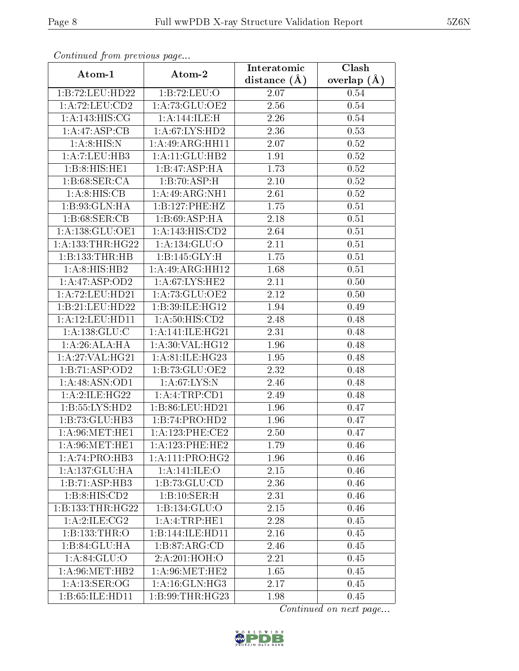| Continuea from pretious page |                                     | Interatomic    | Clash             |
|------------------------------|-------------------------------------|----------------|-------------------|
| Atom-1                       | Atom-2                              | distance $(A)$ | overlap $(A)$     |
| 1:B:72:LEU:HD22              | 1:B:72:LEU:O                        | 2.07           | 0.54              |
| 1:A:72:LEU:CD2               | 1:A:73:GLU:OE2                      | 2.56           | 0.54              |
| 1: A:143:HIS:CG              | 1:A:144:ILE:H                       | 2.26           | 0.54              |
| 1:A:47:ASP:CB                | 1: A:67: LYS: HD2                   | 2.36           | 0.53              |
| 1:A:8:HIS:N                  | 1:A:49:ARG:HH11                     | 2.07           | 0.52              |
| 1:A:7:LEU:HB3                | 1:A:11:GLU:HB2                      | 1.91           | 0.52              |
| 1:B.8: HIS: HE1              | 1:B:47:ASP:HA                       | 1.73           | 0.52              |
| 1: B:68: SER:CA              | 1:B:70:ASP:H                        | 2.10           | 0.52              |
| 1:A:8:HIS:CB                 | 1:A:49:ARG:NH1                      | 2.61           | $\overline{0.52}$ |
| 1: B: 93: GLN: HA            | 1:B:127:PHE:HZ                      | 1.75           | 0.51              |
| 1:B:68:SER:CB                | 1:B:69:ASP:HA                       | 2.18           | 0.51              |
| 1: A: 138: GLU: OE1          | 1:A:143:HIS:CD2                     | 2.64           | 0.51              |
| 1: A: 133: THR: HG22         | 1:A:134:GLU:O                       | 2.11           | 0.51              |
| 1:B:133:THR:HB               | 1:B:145:GLY:H                       | 1.75           | 0.51              |
| 1:A:8:HB:HB2                 | 1:A:49:ARG:HH12                     | 1.68           | 0.51              |
| 1:A:47:ASP:OD2               | 1:A:67:LYS:HE2                      | 2.11           | 0.50              |
| 1:A:72:LEU:HD21              | 1:A:73:GLU:OE2                      | 2.12           | 0.50              |
| 1:B:21:LEU:HD22              | 1:B:39:ILE:HG12                     | 1.94           | 0.49              |
| 1: A: 12: LEU: HD11          | 1: A:50: HIS: CD2                   | 2.48           | 0.48              |
| 1:A:138:GLU:C                | 1:A:141:ILE:HG21                    | 2.31           | 0.48              |
| 1:A:26:ALA:HA                | 1: A:30: VAL:HG12                   | 1.96           | 0.48              |
| 1: A:27: VAL:HG21            | 1:A:81:ILE:HG23                     | 1.95           | 0.48              |
| 1:B:71:ASP:OD2               | 1:B:73:GLU:OE2                      | 2.32           | 0.48              |
| 1:A:48:ASN:OD1               | 1: A:67:LYS:N                       | 2.46           | 0.48              |
| 1:A:2:ILE:HG22               | 1:A:4:TRP:CD1                       | 2.49           | 0.48              |
| 1:B:55:LYS:HD2               | 1:B:86:LEU:HD21                     | 1.96           | 0.47              |
| 1:B:73:GLU:HB3               | 1:B:74:PRO:HD2                      | 1.96           | 0.47              |
| 1: A:96:MET:HE1              | $1:A:123:PHE:\overline{\text{CE2}}$ | 2.50           | 0.47              |
| 1: A:96:MET:HE1              | 1:A:123:PHE:HE2                     | 1.79           | 0.46              |
| 1:A:74:PRO:HB3               | 1: A: 111: PRO:HG2                  | 1.96           | 0.46              |
| 1:A:137:GLU:HA               | 1: A:141:ILE:O                      | 2.15           | 0.46              |
| 1:B:71:ASP:HB3               | 1:B:73:GLU:CD                       | 2.36           | 0.46              |
| 1:B:8:HIS:CD2                | 1:B:10:SER:H                        | 2.31           | 0.46              |
| 1:B:133:THR:HG22             | 1: B: 134: GLU: O                   | 2.15           | 0.46              |
| 1: A:2: ILE: CG2             | 1:A:1:TRP:HE1                       | 2.28           | 0.45              |
| 1:B:133:THR:O                | 1:B:144:ILE:HD11                    | 2.16           | 0.45              |
| 1:B:84:GLU:HA                | 1: B:87: ARG:CD                     | 2.46           | 0.45              |
| 1:A:84:GLU:O                 | 2:A:201:HOH:O                       | 2.21           | 0.45              |
| 1: A:96:MET:HB2              | 1: A:96:MET:HE2                     | 1.65           | 0.45              |
| 1: A: 13: SER: OG            | 1: A:16: GLN: HG3                   | 2.17           | 0.45              |
| 1:B:65:ILE:HD11              | 1: B:99: THR: HG23                  | 1.98           | 0.45              |

Continued from previous page.

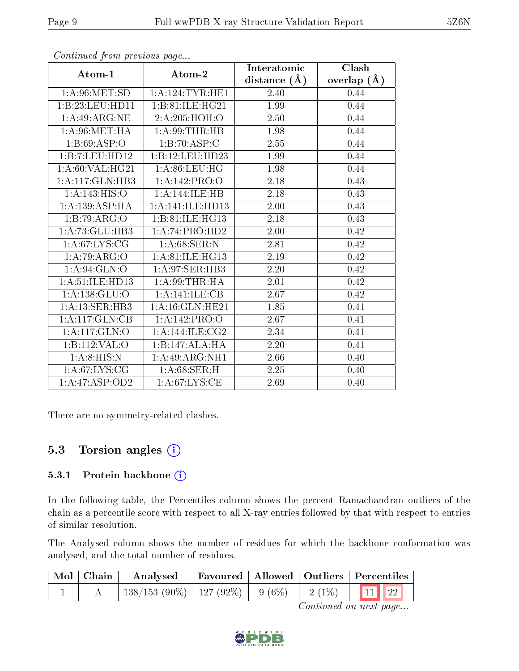|                              |                                    | Interatomic    | Clash           |  |
|------------------------------|------------------------------------|----------------|-----------------|--|
| Atom-1                       | Atom-2                             | distance $(A)$ | overlap $(\AA)$ |  |
| 1: A:96: MET:SD              | 1: A: 124: TYR: HE1                | 2.40           | 0.44            |  |
| 1:B:23:LEU:HD11              | 1:B:81:ILE:HG21                    | 1.99           | 0.44            |  |
| 1: A:49: ARG: NE             | 2:A:205:HOH:O                      | 2.50           | 0.44            |  |
| 1: A:96: MET:HA              | 1: A:99:THR:HB                     | 1.98           | 0.44            |  |
| 1:B:69:ASP:O                 | 1:B:70:ASP:C                       | 2.55           | 0.44            |  |
| 1:B:7:LEU:HDI2               | 1:B:12:LEU:HD23                    | 1.99           | 0.44            |  |
| 1: A:60: VAL: HG21           | 1: A:86: LEU: HG                   | 1.98           | 0.44            |  |
| $1:A:117:GLN:H\overline{B3}$ | 1:A:142:PRO:O                      | 2.18           | 0.43            |  |
| 1: A:143: HIS:O              | 1:A:144:ILE:HB                     | 2.18           | 0.43            |  |
| 1: A: 139: ASP:HA            | 1: A:141: ILE: HD13                | 2.00           | 0.43            |  |
| 1:B:79:ARG:O                 | 1:B:81:ILE:HG13                    | 2.18           | 0.43            |  |
| 1: A: 73: GLU: HB3           | 1:A:74:PRO:HD2                     | 2.00           | 0.42            |  |
| 1: A:67: LYS: CG             | 1: A:68:SER:N                      | 2.81           | 0.42            |  |
| 1:A:79:ARG:O                 | 1:A:81:IE:HG13                     | 2.19           | 0.42            |  |
| 1: A:94: GLN:O               | 1: A:97: SER:HB3                   | 2.20           | 0.42            |  |
| 1: A:51: ILE: HD13           | 1: A:99:THR:HA                     | 2.01           | 0.42            |  |
| 1: A: 138: GLU:O             | 1:A:141:ILE:CB                     | 2.67           | 0.42            |  |
| 1: A:13: SER:HB3             | 1:A:16:GLN:HE21                    | 1.85           | 0.41            |  |
| 1:A:117:GLN:CB               | 1:A:142:PRO:O                      | 2.67           | 0.41            |  |
| 1: A:117: GLN:O              | 1:A:144:ILE:CG2                    | 2.34           | 0.41            |  |
| 1:B:112:VAL:O                | $1:B:147:\overline{\text{ALA:HA}}$ | 2.20           | 0.41            |  |
| 1:A:8:HIS:N                  | 1:A:49:ARG:NH1                     | 2.66           | 0.40            |  |
| 1: A:67: LYS: CG             | 1: A:68:SER:H                      | 2.25           | 0.40            |  |
| 1:A:47:ASP:OD2               | 1: A:67:LYS:CE                     | 2.69           | 0.40            |  |

Continued from previous page...

There are no symmetry-related clashes.

### 5.3 Torsion angles (i)

#### 5.3.1 Protein backbone (i)

In the following table, the Percentiles column shows the percent Ramachandran outliers of the chain as a percentile score with respect to all X-ray entries followed by that with respect to entries of similar resolution.

The Analysed column shows the number of residues for which the backbone conformation was analysed, and the total number of residues.

| Mol   Chain | Analysed                                | Favoured   Allowed   Outliers   Percentiles |                |  |
|-------------|-----------------------------------------|---------------------------------------------|----------------|--|
|             | $138/153$ (90\%)   127 (92\%)   9 (6\%) |                                             | $2(1\%)$ 11 22 |  |

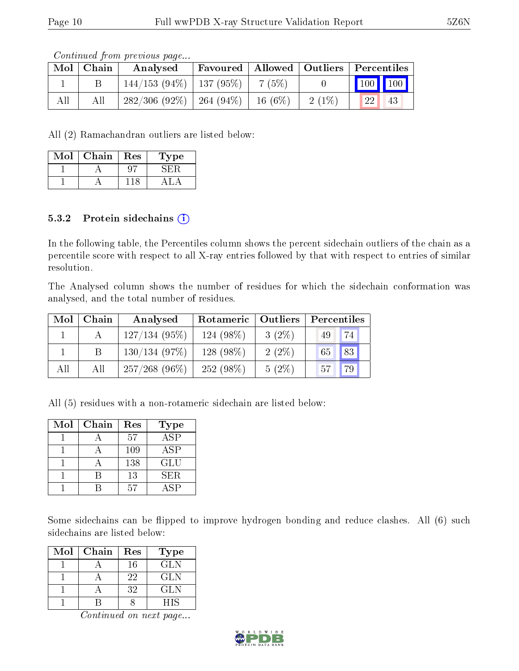Continued from previous page...

| Mol | .   Chain ' | Analysed                      | Favoured   Allowed   Outliers   Percentiles |           |          |         |    |
|-----|-------------|-------------------------------|---------------------------------------------|-----------|----------|---------|----|
|     |             | $144/153$ (94\%)   137 (95\%) |                                             | 7 (5%)    |          | 100 100 |    |
| All | All         | $282/306(92\%)$               | $-264(94\%)$                                | $16(6\%)$ | $2(1\%)$ | 22      | 43 |

All (2) Ramachandran outliers are listed below:

| Mol | Chain | Res | Type |
|-----|-------|-----|------|
|     |       |     |      |
|     |       |     |      |

#### 5.3.2 Protein sidechains  $(i)$

In the following table, the Percentiles column shows the percent sidechain outliers of the chain as a percentile score with respect to all X-ray entries followed by that with respect to entries of similar resolution.

The Analysed column shows the number of residues for which the sidechain conformation was analysed, and the total number of residues.

| Mol | Chain | Analysed         | Rotameric   Outliers |          | Percentiles |    |
|-----|-------|------------------|----------------------|----------|-------------|----|
|     |       | $127/134(95\%)$  | $124(98\%)$          | $3(2\%)$ | 49          | 74 |
|     |       | 130/134(97%)     | 128 (98\%)           | $2(2\%)$ | 65          | 83 |
| All | All   | $257/268$ (96\%) | 252 (98\%)           | $5(2\%)$ | 57          |    |

All (5) residues with a non-rotameric sidechain are listed below:

| Mol | Chain | Res | <b>Type</b>      |
|-----|-------|-----|------------------|
|     |       | 57  | $\overline{ASP}$ |
|     |       | 109 | ASP              |
|     |       | 138 | <b>GLU</b>       |
|     |       | 13  | <b>SER</b>       |
|     |       | 57  | $AS\overline{P}$ |

Some sidechains can be flipped to improve hydrogen bonding and reduce clashes. All (6) such sidechains are listed below:

| Mol | Chain | Res | Type       |
|-----|-------|-----|------------|
|     |       | 16  | <b>GLN</b> |
|     |       | 22  | GLN        |
|     |       | 32  | <b>GLN</b> |
|     |       |     | <b>HIS</b> |

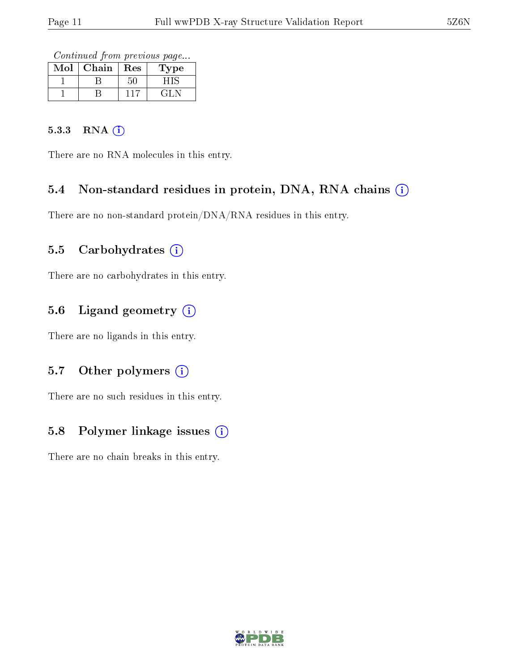Continued from previous page...

| Mol | Chain | Res | <b>Type</b> |
|-----|-------|-----|-------------|
|     |       |     |             |
|     |       |     |             |

#### 5.3.3 RNA (i)

There are no RNA molecules in this entry.

### 5.4 Non-standard residues in protein, DNA, RNA chains (i)

There are no non-standard protein/DNA/RNA residues in this entry.

### 5.5 Carbohydrates  $(i)$

There are no carbohydrates in this entry.

### 5.6 Ligand geometry (i)

There are no ligands in this entry.

### 5.7 [O](https://www.wwpdb.org/validation/2017/XrayValidationReportHelp#nonstandard_residues_and_ligands)ther polymers  $(i)$

There are no such residues in this entry.

### 5.8 Polymer linkage issues (i)

There are no chain breaks in this entry.

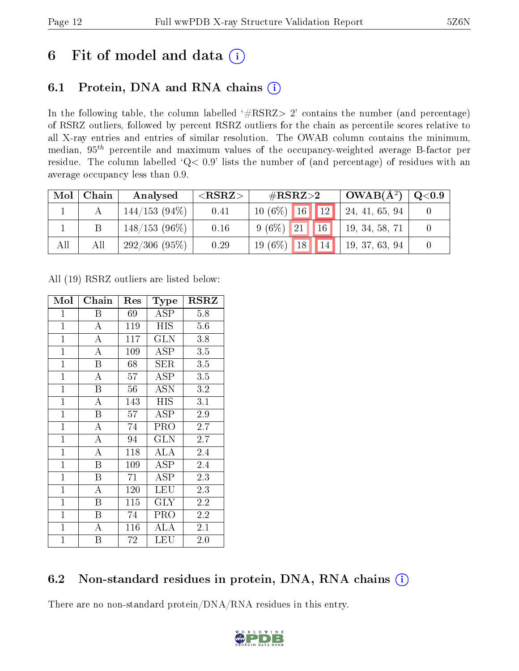# 6 Fit of model and data  $(i)$

# 6.1 Protein, DNA and RNA chains  $(i)$

In the following table, the column labelled  $#RSRZ> 2'$  contains the number (and percentage) of RSRZ outliers, followed by percent RSRZ outliers for the chain as percentile scores relative to all X-ray entries and entries of similar resolution. The OWAB column contains the minimum, median,  $95<sup>th</sup>$  percentile and maximum values of the occupancy-weighted average B-factor per residue. The column labelled ' $Q< 0.9$ ' lists the number of (and percentage) of residues with an average occupancy less than 0.9.

| Mol | Chain | Analysed        | ${ <\hspace{-1.5pt}{\mathrm{RSRZ}} \hspace{-1.5pt}>}$ | $\rm \#RSRZ{>}2$                   | $OWAB(A^2)$    | Q <sub>0.9</sub> |
|-----|-------|-----------------|-------------------------------------------------------|------------------------------------|----------------|------------------|
|     |       | $144/153(94\%)$ | 0.41                                                  | $10(6\%)$ 16 12                    | 24, 41, 65, 94 |                  |
|     |       | $148/153(96\%)$ | 0.16                                                  | 16<br>$9(6\%)$ 21                  | 19, 34, 58, 71 |                  |
| All | All   | 292/306(95%)    | 0.29                                                  | 18 <sup>7</sup><br>$19(6\%)$<br>14 | 19, 37, 63, 94 |                  |

All (19) RSRZ outliers are listed below:

| Mol            | Chain                   | Res | <b>Type</b> | RSRZ    |
|----------------|-------------------------|-----|-------------|---------|
| $\mathbf{1}$   | B                       | 69  | ASP         | 5.8     |
| $\mathbf{1}$   | $\overline{\rm A}$      | 119 | <b>HIS</b>  | 5.6     |
| $\mathbf{1}$   | A                       | 117 | <b>GLN</b>  | 3.8     |
| $\mathbf{1}$   | A                       | 109 | ASP         | 3.5     |
| $\overline{1}$ | $\overline{\mathrm{B}}$ | 68  | <b>SER</b>  | 3.5     |
| $\mathbf{1}$   | $\overline{\rm A}$      | 57  | <b>ASP</b>  | 3.5     |
| $\overline{1}$ | B                       | 56  | <b>ASN</b>  | 3.2     |
| $\mathbf{1}$   | A                       | 143 | <b>HIS</b>  | 3.1     |
| $\mathbf{1}$   | $\overline{B}$          | 57  | <b>ASP</b>  | 2.9     |
| $\mathbf{1}$   | A                       | 74  | PRO         | 2.7     |
| $\mathbf{1}$   | $\mathbf{A}$            | 94  | GLN         | 2.7     |
| $\overline{1}$ | $\overline{\rm A}$      | 118 | ALA         | 2.4     |
| $\overline{1}$ | B                       | 109 | <b>ASP</b>  | 2.4     |
| $\overline{1}$ | B                       | 71  | ASP         | 2.3     |
| $\mathbf{1}$   | A                       | 120 | <b>LEU</b>  | 2.3     |
| $\mathbf{1}$   | B                       | 115 | <b>GLY</b>  | 2.2     |
| $\mathbf{1}$   | B                       | 74  | PRO         | 2.2     |
| $\mathbf{1}$   | А                       | 116 | ALA         | 2.1     |
| $\mathbf 1$    | Β                       | 72  | LEU         | $2.0\,$ |

# 6.2 Non-standard residues in protein, DNA, RNA chains  $(i)$

There are no non-standard protein/DNA/RNA residues in this entry.